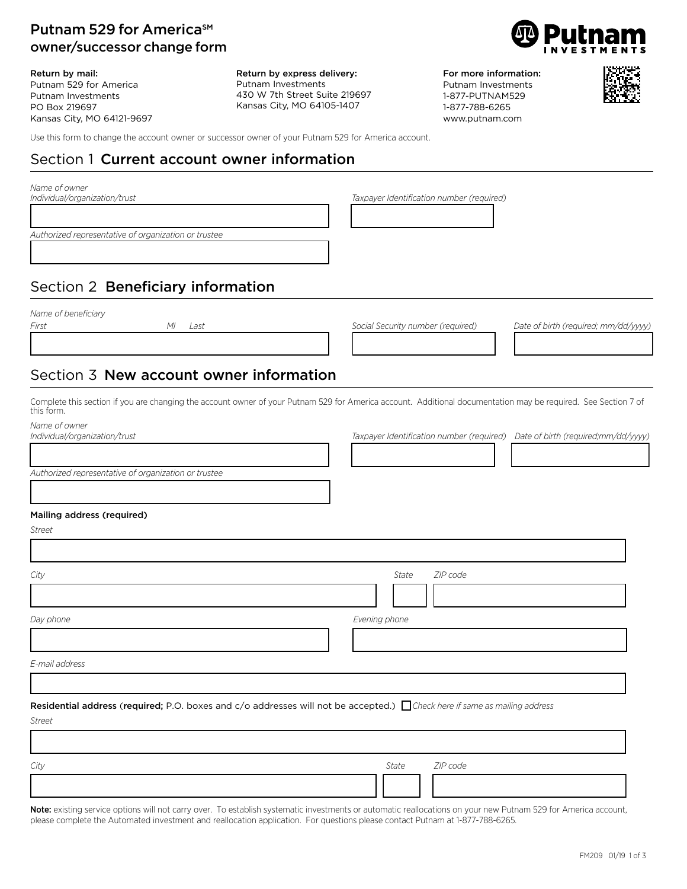## Putnam 529 for America<sup>SM</sup> owner/successor change form

Return by mail: Putnam 529 for America Putnam Investments PO Box 219697 Kansas City, MO 64121-9697 Return by express delivery: Putnam Investments 430 W 7th Street Suite 219697 Kansas City, MO 64105-1407



For more information: Putnam Investments 1-877-PUTNAM529 1-877-788-6265 www.putnam.com



Use this form to change the account owner or successor owner of your Putnam 529 for America account.

# Section 1 Current account owner information

| Name of owner<br>Individual/organization/trust                                                                                                                               | Taxpayer Identification number (required)                                     |
|------------------------------------------------------------------------------------------------------------------------------------------------------------------------------|-------------------------------------------------------------------------------|
|                                                                                                                                                                              |                                                                               |
| Authorized representative of organization or trustee                                                                                                                         |                                                                               |
|                                                                                                                                                                              |                                                                               |
|                                                                                                                                                                              |                                                                               |
| Section 2 Beneficiary information                                                                                                                                            |                                                                               |
| Name of beneficiary                                                                                                                                                          |                                                                               |
| First<br>МI<br>Last                                                                                                                                                          | Social Security number (required)<br>Date of birth (required; mm/dd/yyyy)     |
|                                                                                                                                                                              |                                                                               |
| Section 3 New account owner information                                                                                                                                      |                                                                               |
| Complete this section if you are changing the account owner of your Putnam 529 for America account. Additional documentation may be required. See Section 7 of<br>this form. |                                                                               |
| Name of owner<br>Individual/organization/trust                                                                                                                               | Taxpayer Identification number (required) Date of birth (required;mm/dd/yyyy) |
|                                                                                                                                                                              |                                                                               |
| Authorized representative of organization or trustee                                                                                                                         |                                                                               |
|                                                                                                                                                                              |                                                                               |
|                                                                                                                                                                              |                                                                               |
| Mailing address (required)<br>Street                                                                                                                                         |                                                                               |
|                                                                                                                                                                              |                                                                               |
|                                                                                                                                                                              |                                                                               |
| City                                                                                                                                                                         | State<br>ZIP code                                                             |
|                                                                                                                                                                              |                                                                               |
| Day phone                                                                                                                                                                    | Evening phone                                                                 |
|                                                                                                                                                                              |                                                                               |
| E-mail address                                                                                                                                                               |                                                                               |
|                                                                                                                                                                              |                                                                               |
| Residential address (required; P.O. boxes and c/o addresses will not be accepted.) Ocheck here if same as mailing address                                                    |                                                                               |
| <b>Street</b>                                                                                                                                                                |                                                                               |
|                                                                                                                                                                              |                                                                               |
|                                                                                                                                                                              |                                                                               |
| City                                                                                                                                                                         | ZIP code<br>State                                                             |
|                                                                                                                                                                              |                                                                               |

Note: existing service options will not carry over. To establish systematic investments or automatic reallocations on your new Putnam 529 for America account, please complete the Automated investment and reallocation application. For questions please contact Putnam at 1-877-788-6265.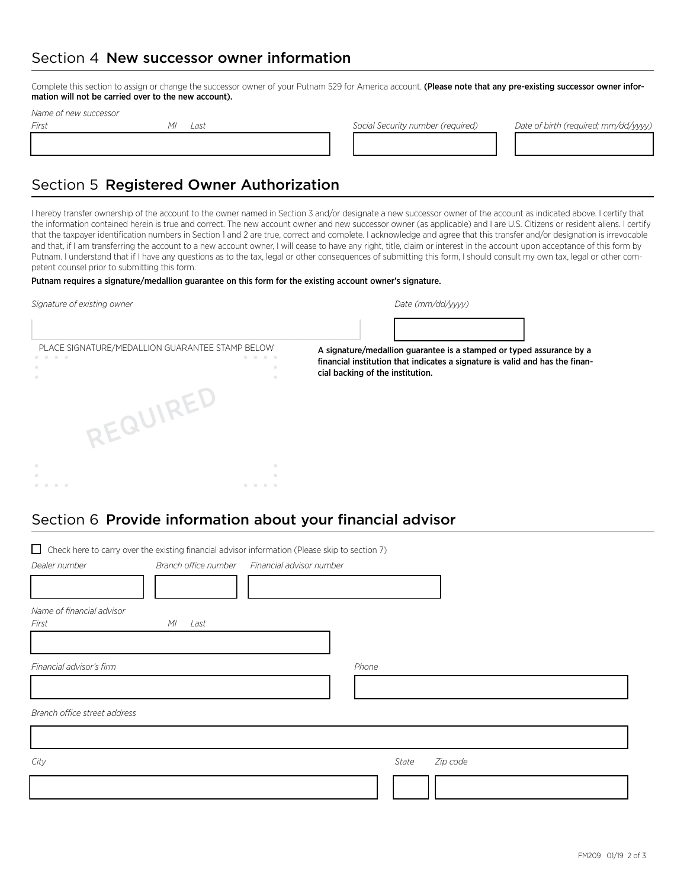## Section 4 New successor owner information

Complete this section to assign or change the successor owner of your Putnam 529 for America account. (Please note that any pre-existing successor owner information will not be carried over to the new account).

13333333232333333334 1222222224 121212224

*Name of new successor*

*First MI Last Social Security number (required) Date of birth (required; mm/dd/yyyy)*

# Section 5 Registered Owner Authorization

I hereby transfer ownership of the account to the owner named in Section 3 and/or designate a new successor owner of the account as indicated above. I certify that the information contained herein is true and correct. The new account owner and new successor owner (as applicable) and I are U.S. Citizens or resident aliens. I certify that the taxpayer identification numbers in Section 1 and 2 are true, correct and complete. I acknowledge and agree that this transfer and/or designation is irrevocable and that, if I am transferring the account to a new account owner, I will cease to have any right, title, claim or interest in the account upon acceptance of this form by Putnam. I understand that if I have any questions as to the tax, legal or other consequences of submitting this form, I should consult my own tax, legal or other competent counsel prior to submitting this form.

### Putnam requires a signature/medallion guarantee on this form for the existing account owner's signature.

| Signature of existing owner                     | Date (mm/dd/yyyy)                                                                                                                                                                        |  |  |
|-------------------------------------------------|------------------------------------------------------------------------------------------------------------------------------------------------------------------------------------------|--|--|
|                                                 |                                                                                                                                                                                          |  |  |
| PLACE SIGNATURE/MEDALLION GUARANTEE STAMP BELOW | A signature/medallion guarantee is a stamped or typed assurance by a<br>financial institution that indicates a signature is valid and has the finan-<br>cial backing of the institution. |  |  |
| REQUIREL                                        |                                                                                                                                                                                          |  |  |
|                                                 |                                                                                                                                                                                          |  |  |
|                                                 |                                                                                                                                                                                          |  |  |

## Section 6 Provide information about your financial advisor

| □ Check here to carry over the existing financial advisor information (Please skip to section 7) |            |                                               |       |                   |
|--------------------------------------------------------------------------------------------------|------------|-----------------------------------------------|-------|-------------------|
| Dealer number                                                                                    |            | Branch office number Financial advisor number |       |                   |
|                                                                                                  |            |                                               |       |                   |
| Name of financial advisor                                                                        |            |                                               |       |                   |
| First                                                                                            | ΜI<br>Last |                                               |       |                   |
|                                                                                                  |            |                                               |       |                   |
| Financial advisor's firm                                                                         |            |                                               | Phone |                   |
|                                                                                                  |            |                                               |       |                   |
| Branch office street address                                                                     |            |                                               |       |                   |
|                                                                                                  |            |                                               |       |                   |
| City                                                                                             |            |                                               |       | Zip code<br>State |
|                                                                                                  |            |                                               |       |                   |